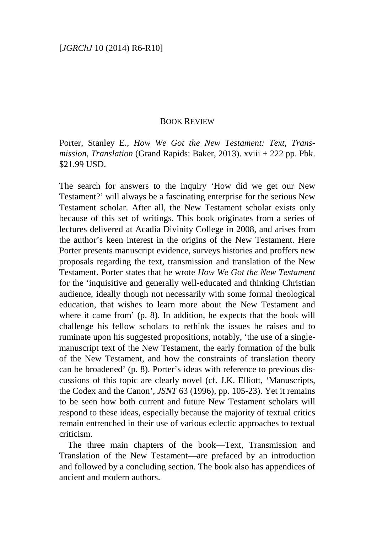## BOOK REVIEW

Porter, Stanley E., *How We Got the New Testament: Text, Transmission, Translation* (Grand Rapids: Baker, 2013). xviii + 222 pp. Pbk. \$21.99 USD.

The search for answers to the inquiry 'How did we get our New Testament?' will always be a fascinating enterprise for the serious New Testament scholar. After all, the New Testament scholar exists only because of this set of writings. This book originates from a series of lectures delivered at Acadia Divinity College in 2008, and arises from the author's keen interest in the origins of the New Testament. Here Porter presents manuscript evidence, surveys histories and proffers new proposals regarding the text, transmission and translation of the New Testament. Porter states that he wrote *How We Got the New Testament* for the 'inquisitive and generally well-educated and thinking Christian audience, ideally though not necessarily with some formal theological education, that wishes to learn more about the New Testament and where it came from' (p. 8). In addition, he expects that the book will challenge his fellow scholars to rethink the issues he raises and to ruminate upon his suggested propositions, notably, 'the use of a singlemanuscript text of the New Testament, the early formation of the bulk of the New Testament, and how the constraints of translation theory can be broadened' (p. 8). Porter's ideas with reference to previous discussions of this topic are clearly novel (cf. J.K. Elliott, 'Manuscripts, the Codex and the Canon', *JSNT* 63 (1996), pp. 105-23). Yet it remains to be seen how both current and future New Testament scholars will respond to these ideas, especially because the majority of textual critics remain entrenched in their use of various eclectic approaches to textual criticism.

The three main chapters of the book—Text, Transmission and Translation of the New Testament—are prefaced by an introduction and followed by a concluding section. The book also has appendices of ancient and modern authors.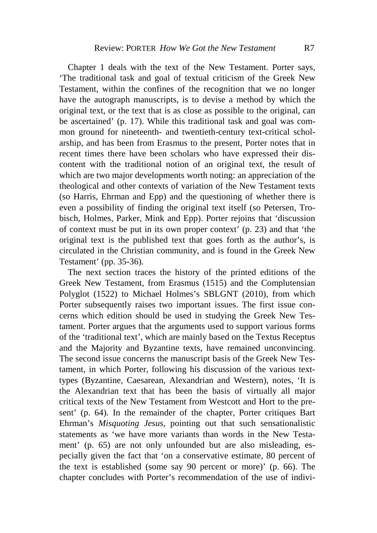Chapter 1 deals with the text of the New Testament. Porter says, 'The traditional task and goal of textual criticism of the Greek New Testament, within the confines of the recognition that we no longer have the autograph manuscripts, is to devise a method by which the original text, or the text that is as close as possible to the original, can be ascertained' (p. 17). While this traditional task and goal was common ground for nineteenth- and twentieth-century text-critical scholarship, and has been from Erasmus to the present, Porter notes that in recent times there have been scholars who have expressed their discontent with the traditional notion of an original text, the result of which are two major developments worth noting: an appreciation of the theological and other contexts of variation of the New Testament texts (so Harris, Ehrman and Epp) and the questioning of whether there is even a possibility of finding the original text itself (so Petersen, Trobisch, Holmes, Parker, Mink and Epp). Porter rejoins that 'discussion of context must be put in its own proper context' (p. 23) and that 'the original text is the published text that goes forth as the author's, is circulated in the Christian community, and is found in the Greek New Testament' (pp. 35-36).

The next section traces the history of the printed editions of the Greek New Testament, from Erasmus (1515) and the Complutensian Polyglot (1522) to Michael Holmes's SBLGNT (2010), from which Porter subsequently raises two important issues. The first issue concerns which edition should be used in studying the Greek New Testament. Porter argues that the arguments used to support various forms of the 'traditional text', which are mainly based on the Textus Receptus and the Majority and Byzantine texts, have remained unconvincing. The second issue concerns the manuscript basis of the Greek New Testament, in which Porter, following his discussion of the various texttypes (Byzantine, Caesarean, Alexandrian and Western), notes, 'It is the Alexandrian text that has been the basis of virtually all major critical texts of the New Testament from Westcott and Hort to the present' (p. 64). In the remainder of the chapter, Porter critiques Bart Ehrman's *Misquoting Jesus*, pointing out that such sensationalistic statements as 'we have more variants than words in the New Testament' (p. 65) are not only unfounded but are also misleading, especially given the fact that 'on a conservative estimate, 80 percent of the text is established (some say 90 percent or more)' (p. 66). The chapter concludes with Porter's recommendation of the use of indivi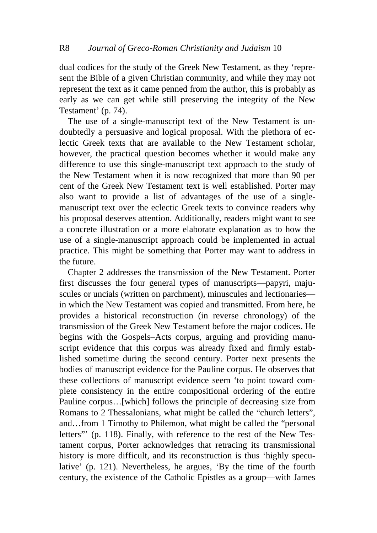dual codices for the study of the Greek New Testament, as they 'represent the Bible of a given Christian community, and while they may not represent the text as it came penned from the author, this is probably as early as we can get while still preserving the integrity of the New Testament' (p. 74).

The use of a single-manuscript text of the New Testament is undoubtedly a persuasive and logical proposal. With the plethora of eclectic Greek texts that are available to the New Testament scholar, however, the practical question becomes whether it would make any difference to use this single-manuscript text approach to the study of the New Testament when it is now recognized that more than 90 per cent of the Greek New Testament text is well established. Porter may also want to provide a list of advantages of the use of a singlemanuscript text over the eclectic Greek texts to convince readers why his proposal deserves attention. Additionally, readers might want to see a concrete illustration or a more elaborate explanation as to how the use of a single-manuscript approach could be implemented in actual practice. This might be something that Porter may want to address in the future.

Chapter 2 addresses the transmission of the New Testament. Porter first discusses the four general types of manuscripts—papyri, majuscules or uncials (written on parchment), minuscules and lectionaries in which the New Testament was copied and transmitted. From here, he provides a historical reconstruction (in reverse chronology) of the transmission of the Greek New Testament before the major codices. He begins with the Gospels–Acts corpus, arguing and providing manuscript evidence that this corpus was already fixed and firmly established sometime during the second century. Porter next presents the bodies of manuscript evidence for the Pauline corpus. He observes that these collections of manuscript evidence seem 'to point toward complete consistency in the entire compositional ordering of the entire Pauline corpus…[which] follows the principle of decreasing size from Romans to 2 Thessalonians, what might be called the "church letters", and…from 1 Timothy to Philemon, what might be called the "personal letters"' (p. 118). Finally, with reference to the rest of the New Testament corpus, Porter acknowledges that retracing its transmissional history is more difficult, and its reconstruction is thus 'highly speculative' (p. 121). Nevertheless, he argues, 'By the time of the fourth century, the existence of the Catholic Epistles as a group—with James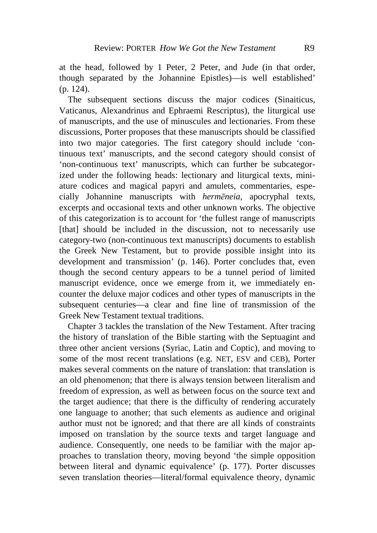at the head, followed by 1 Peter, 2 Peter, and Jude (in that order, though separated by the Johannine Epistles)—is well established' (p. 124).

The subsequent sections discuss the major codices (Sinaiticus, Vaticanus, Alexandrinus and Ephraemi Rescriptus), the liturgical use of manuscripts, and the use of minuscules and lectionaries. From these discussions, Porter proposes that these manuscripts should be classified into two major categories. The first category should include 'continuous text' manuscripts, and the second category should consist of 'non-continuous text' manuscripts, which can further be subcategorized under the following heads: lectionary and liturgical texts, miniature codices and magical papyri and amulets, commentaries, especially Johannine manuscripts with *hermēneia*, apocryphal texts, excerpts and occasional texts and other unknown works. The objective of this categorization is to account for 'the fullest range of manuscripts [that] should be included in the discussion, not to necessarily use category-two (non-continuous text manuscripts) documents to establish the Greek New Testament, but to provide possible insight into its development and transmission' (p. 146). Porter concludes that, even though the second century appears to be a tunnel period of limited manuscript evidence, once we emerge from it, we immediately encounter the deluxe major codices and other types of manuscripts in the subsequent centuries—a clear and fine line of transmission of the Greek New Testament textual traditions.

Chapter 3 tackles the translation of the New Testament. After tracing the history of translation of the Bible starting with the Septuagint and three other ancient versions (Syriac, Latin and Coptic), and moving to some of the most recent translations (e.g. NET, ESV and CEB), Porter makes several comments on the nature of translation: that translation is an old phenomenon; that there is always tension between literalism and freedom of expression, as well as between focus on the source text and the target audience; that there is the difficulty of rendering accurately one language to another; that such elements as audience and original author must not be ignored; and that there are all kinds of constraints imposed on translation by the source texts and target language and audience. Consequently, one needs to be familiar with the major approaches to translation theory, moving beyond 'the simple opposition between literal and dynamic equivalence' (p. 177). Porter discusses seven translation theories—literal/formal equivalence theory, dynamic